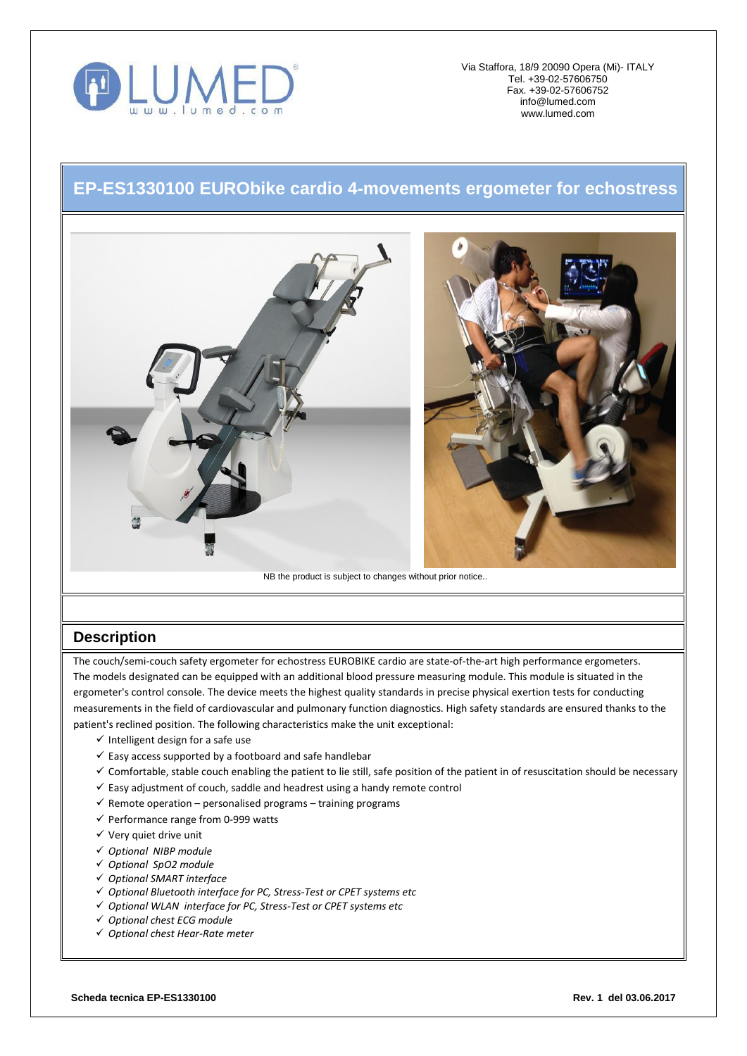

Via Staffora, 18/9 20090 Opera (Mi)- ITALY Tel. +39-02-57606750 Fax. +39-02-57606752 [info@lumed.com](mailto:lumed@libero.it) [www.lumed.com](http://www.lumed.com/)

## **EP-ES1330100 EURObike cardio 4-movements ergometer for echostress**



## **Description**

The couch/semi-couch safety ergometer for echostress EUROBIKE cardio are state-of-the-art high performance ergometers. The models designated can be equipped with an additional blood pressure measuring module. This module is situated in the ergometer's control console. The device meets the highest quality standards in precise physical exertion tests for conducting measurements in the field of cardiovascular and pulmonary function diagnostics. High safety standards are ensured thanks to the patient's reclined position. The following characteristics make the unit exceptional:

- $\checkmark$  Intelligent design for a safe use
- $\checkmark$  Easy access supported by a footboard and safe handlebar
- $\checkmark$  Comfortable, stable couch enabling the patient to lie still, safe position of the patient in of resuscitation should be necessary
- $\checkmark$  Easy adjustment of couch, saddle and headrest using a handy remote control
- $\checkmark$  Remote operation personalised programs training programs
- $\checkmark$  Performance range from 0-999 watts
- $\checkmark$  Very quiet drive unit
- *Optional NIBP module*
- *Optional SpO2 module*
- *Optional SMART interface*
- *Optional Bluetooth interface for PC, Stress-Test or CPET systems etc*
- *Optional WLAN interface for PC, Stress-Test or CPET systems etc*
- *Optional chest ECG module*
- *Optional chest Hear-Rate meter*